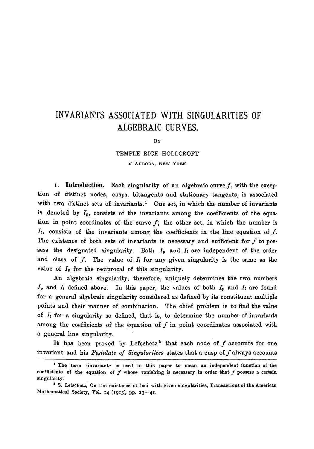## **INVARIANTS ASSOCIATED WITH SINGULARITIES OF ALGEBRAIC CURVES.**

BY

## TEMPLE RICE HOLLCROFT

of AURORA, NEW YORK.

I. Introduction. Each singularity of an algebraic curve  $f$ , with the exception of distinct nodes, cusps, bitangents and stationary tangents, is associated with two distinct sets of invariants.<sup>1</sup> One set, in which the number of invariants is denoted by  $I_p$ , consists of the invariants among the coefficients of the equation in point coordinates of the curve  $f$ ; the other set, in which the number is  $I_i$ , consists of the invariants among the coefficients in the line equation of  $f$ . The existence of both sets of invariants is necessary and sufficient for  $f$  to possess the designated singularity. Both  $I_p$  and  $I_l$  are independent of the order and class of f. The value of  $I_i$  for any given singularity is the same as the value of  $I_p$  for the reciprocal of this singularity.

An algebraic singularity, therefore, uniquely determines the two numbers  $I_p$  and  $I_l$  defined above. In this paper, the values of both  $I_p$  and  $I_l$  are found for a general algebraic singularity considered as defined by its constituent multiple points and their manner of combination. The chief problem is to find the value of  $I_t$  for a singularity so defined, that is, to determine the number of invariants among the coefficients of the equation of  $f$  in point coordinates associated with a general line singularity.

It has been proved by Lefschetz<sup>2</sup> that each node of  $f$  accounts for one invariant and his *Postulate of Singularities* states that a cusp of f always accounts

<sup>&</sup>lt;sup>1</sup> The term »invariant» is used in this paper to mean an independent function of the coefficients of the equation of f whose vanishing is necessary in **order that** f possess a **certain**  singularity.

<sup>&</sup>lt;sup>2</sup> S. Lefschetz, On the existence of loci with given singularities, Transactions of the American Mathematical Society, Vol. 14 (1913), pp. 23-41.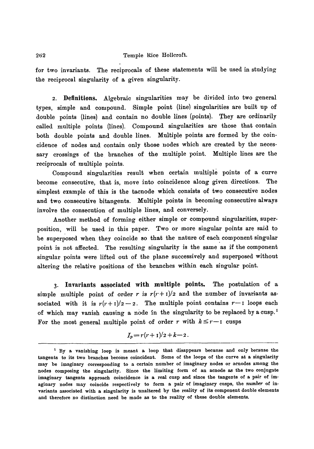## 262 Temple Rice Hollcroft.

for two invariants. The reciprocals of these statements will be used in studying the reciprocal singularity of a given singularity.

2. Definitions. Algebraic singularities may be divided into two general types, simple and compound. Simple point (line) singularities are built up of double points (lines) and contain no double lines (points). They are ordinarily called multiple points (lines). Compound singularities are those that contain both double points and double lines. Multiple points are formed by the coincideuce of nodes and contain only those nodes which are created by the necessary crossings of the branches of the multiple point. Multiple lines are the reciprocals of multiple points.

Compound singularities result when certain multiple points of a curve become consecutive, that is, move into coincidence along given directions. The simplest example of this is the tacnode which consists of two consecutive nodes and two consecutive bitangents. Multiple points in becoming consecutive always involve the consecution of multiple lines, and conversely.

Another method of forming either simple or compound singularities, superposition, will be used in this paper. Two or more singular points are said to be superposed when they coincide so that the nature of each component singular point is not affected. The resulting singularity is the same as if the component singular points were lifted out of the plane successively and superposed without altering the relative positions of the branches within each singular point.

**3. Invariants associated with multiple points.** The postulation of **a**  simple multiple point of order r is  $r(r+1)/2$  and the number of invariants associated with it is  $r(r+1)/2-2$ . The multiple point contains  $r-1$  loops each of which may vanish causing a node in the singularity to be replaced by a cusp.<sup>1</sup> For the most general multiple point of order r with  $k \leq r-1$  cusps

$$
I_p = r(r+1)/2 + k - 2
$$

t By a vanishing loop is meant a loop that disappears because and only because the tangents to its two branches become coincident. Some of the loops of the curve at a singularity may be imaginary corresponding to a certain number of imaginary nodes or aenodes among the nodes composing the singularity. Since the limiting form of an acnode as the two conjugate imaginary tangents **approach coincidence** is a real cusp and since the tangents of a pair of imaginary nodes may coincide respectively to form a pair of imaginary cusps, the *number of* invariants associated with a singularity is unaltered by the reality of its component double elements and therefore no distinction need be made as to the reality of these double elements.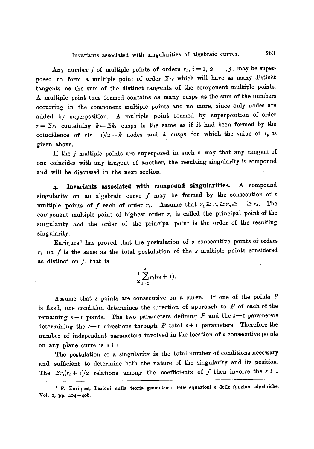Any number j of multiple points of orders  $r_i$ ,  $i=1, 2, ..., j$ , may be superposed to form a multiple point of order  $\Sigma r_i$  which will have as many distinct tangents as the sum of the distinct tangents of the component multiple points. A multiple point thus formed contains as many cusps as the sum of the numbers occurring in the component multiple points and no more, since only nodes are added by superposition. A multiple point formed by superposition of order  $r={\Sigma}r_i$  containing  $k={\Sigma}k_i$  cusps is the same as if it had been formed by the coincidence of  $r(r-1)/2-k$  nodes and k cusps for which the value of  $I_p$  is given above.

If the  $j$  multiple points are superposed in such a way that any tangent of one coincides with any tangent of another, the resulting singularity is compound and will be discussed in the next section.

**4. Invariants associated with compound singularities. A** compound singularity on an algebraic curve  $f$  may be formed by the consecution of  $s$ multiple points of f each of order  $r_i$ . Assume that  $r_1 \ge r_2 \ge r_3 \ge \cdots \ge r_s$ . The component multiple point of highest order  $r_1$  is called the principal point of the singularity and the order of the principal point is the order of the resulting singularity.

Enriques<sup>1</sup> has proved that the postulation of  $s$  consecutive points of orders  $r_i$  on  $f$  is the same as the total postulation of the  $s$  multiple points considered as distinct on  $f$ , that is

$$
\frac{1}{2}\sum_{i=1}^s r_i(r_i+1).
$$

Assume that s points are consecutive on a curve. If one of the points  $P$ is fixed, one condition determines the direction of approach to  $P$  of each of the remaining  $s - 1$  points. The two parameters defining P and the  $s - 1$  parameters determining the  $s-1$  directions through  $P$  total  $s+1$  parameters. Therefore the number of independent parameters involved in the location of s consecutive points on any plane curve is  $s+1$ .

The postulation of a singularity is the total number of conditions necessary and sufficient to determine both the nature of the singularity and its position. The  $\sum r_i(r_i + 1)/2$  relations among the coefficients of f then involve the  $s + 1$ 

t F. Enriques, Lezioni sulla **teoria geometrica delle equazioni e delle** funzioni algebriche, Vol. 2, pp. 404-408.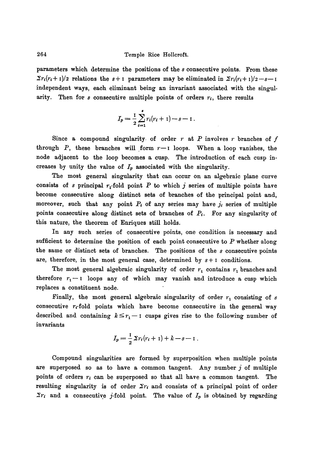parameters which determine the positions of the s consecutive points. From these  $\sum r_i(r_i + 1)/2$  relations the  $s + 1$  parameters may be eliminated in  $\sum r_i(r_i + 1)/2 - s - 1$ independent ways, each eliminant being an invariant associated with the singularity. Then for  $s$  consecutive multiple points of orders  $r_i$ , there results

$$
I_p = \frac{1}{2} \sum_{i=1}^s r_i (r_i + 1) - s - 1.
$$

Since a compound singularity of order r at P involves r branches of  $f$ through P, these branches will form  $r-1$  loops. When a loop vanishes, the node adjacent to the loop becomes a cusp. The introduction of each cusp increases by unity the value of  $I_p$  associated with the singularity.

The most general singularity that can occur on an algebraic plane curve consists of s principal  $r_1$ -fold point P to which j series of multiple points have become consecutive along distinct sets of branches of the principal point and, moreover, such that any point  $P_i$  of any series may have  $j_i$  series of multiple points consecutive along distinct sets of branches of  $P_i$ . For any singularity of this nature, the theorem of Enriques still holds.

In any such series of consecutive points, one condition is necessary and sufficient to determine the position of each point consecutive to  $P$  whether along the same or distinct sets of branches. The positions of the  $s$  consecutive points are, therefore, in the most general case, determined by  $s+1$  conditions.

The most general algebraic singularity of order  $r_1$  contains  $r_1$  branches and therefore  $r_1-1$  loops any of which may vanish and introduce a cusp which replaces a constituent node.

Finally, the most general algebraic singularity of order  $r_1$  consisting of s consecutive  $r_i$ -fold points which have become consecutive in the general way described and containing  $k \leq r_1 - 1$  cusps gives rise to the following number of invariants

$$
I_p = \frac{1}{2} \, \Sigma r_i (r_i + 1) + k - s - 1 \; .
$$

Compound singularities are formed by superposition when multiple points are superposed so as to have a common tangent. Any number  $j$  of multiple points of orders  $r_i$  can be superposed so that all have a common tangent. The resulting singularity is of order  $\Sigma r_i$  and consists of a principal point of order  $\sum r_i$  and a consecutive j-fold point. The value of  $I_p$  is obtained by regarding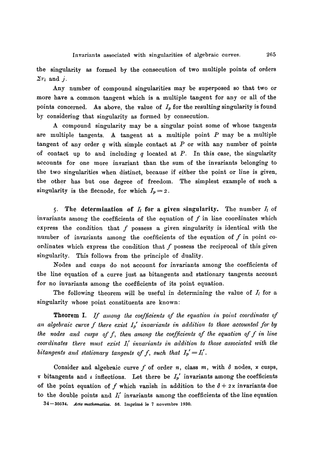the singularity as formed by the consecution of two multiple points of orders  $\sum r_i$  and j.

Any number of compound singularities may be superposed so that two or more have a common tangent which is a multiple tangent for any or all of the points concerned. As above, the value of  $I_p$  for the resulting singularity is found by considering that singularity as formed by consecution.

A compound singularity may be a singular point some of whose tangents are multiple tangents. A tangent at a multiple point  $P$  may be a multiple tangent of any order  $q$  with simple contact at  $P$  or with any number of points of contact up to and including q located at  $P$ . In this case, the singularity accounts for one more invariant than the sum of the invariants belonging to the two singularities when distinct, because if either the point or line is given, the other has but one degree of freedom. The simplest example of such a singularity is the flecnode, for which  $I_p = 2$ .

5. The determination of  $I_l$  for a given singularity. The number  $I_l$  of invariants among the coefficients of the equation of  $f$  in line coordinates which express the condition that  $f$  possess a given singularity is identical with the number of invariants among the coefficients of the equation of  $f$  in point coordinates which express the condition that  $f$  possess the reciprocal of this given singularity. This follows from the principle of duality.

Nodes and cusps do not account for invariants among the coefficients of the line equation of a curve just as bitangents and stationary tangents account for no invariants among the coefficients of its point equation.

The following theorem will be useful in determining the value of  $I_i$  for a singularity whose point constituents are known:

**Theorem I.** If among the coefficients of the equation in point coordinates of an algebraic curve f there exist  $I_p$  invariants in addition to those accounted for by *the nodes and cusps off, then among the coefficients of the equation off in line coordinates there must exist*  $I_i$  *invariants in addition to those associated with the bitangents and stationary tangents of f, such that*  $I_p' = I'_l$ .

Consider and algebraic curve  $f$  of order  $n$ , class  $m$ , with  $\delta$  nodes, x cusps,  $\tau$  bitangents and  $\iota$  inflections. Let there be  $I_p'$  invariants among the coefficients of the point equation of f which vanish in addition to the  $\delta + 2x$  invariants due to the double points and  $I_i'$  invariants among the coefficients of the line equation 34-30534. *Acta mathematica.* 56. Imprimé le 7 novembre 1930.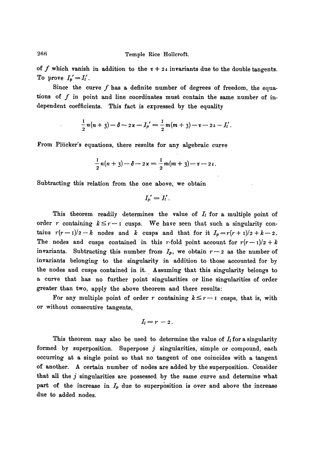of f which vanish in addition to the  $\tau + 2i$  invariants due to the double tangents. To prove  $I_p' = I_l'$ .

Since the curve  $f$  has a definite number of degrees of freedom, the equations of  $f$  in point and line coordinates must contain the same number of independent coefficients. This fact is expressed by the equality

$$
\frac{1}{2}n(n+3)-\delta-2x-I_p'=\frac{1}{2}m(m+3)-\sigma-2\iota-I'_l.
$$

From Pliicker's equations, there results for any algebraic curve

$$
\frac{1}{2}n(n+3)-\delta-2x=\frac{1}{2}m(m+3)-\tau-2\iota.
$$

Subtracting this relation from the one above, we obtain

$$
{I_p}'=I_l'.
$$

This theorem readily determines the value of  $I_i$  for a multiple point of order r containing  $k \leq r-1$  cusps. We have seen that such a singularity contains  $r(r-1)/2-k$  nodes and k cusps and that for it  $I_p=r(r+1)/2+k-2$ . The nodes and cusps contained in this *r*-fold point account for  $r(r-1)/2 + k$ invariants. Subtracting this number from  $I_p$ , we obtain  $r-2$  as the number of invariants belonging to the singularity in addition to those accounted for by the nodes and cusps contained in it. Assuming that this singularity belongs to a curve that has no further point singularities or line singularities of order greater than two, apply the above theorem and there results:

For any multiple point of order r containing  $k \leq r-1$  cusps, that is, with or without consecutive tangents,

$$
I_l=r-2.
$$

This theorem may also be used to determine the value of  $I_t$  for a singularity formed by superposition. Superpose  $j$  singularities, simple or compound, each occurring at a single point so that no tangent of one coincides with a tangent of another. A certain number of nodes are added by the superposition. Consider that all the  $j$  singularities are possessed by the same curve and determine what part of the increase in  $I_p$  due to superposition is over and above the increase due to added nodes.

266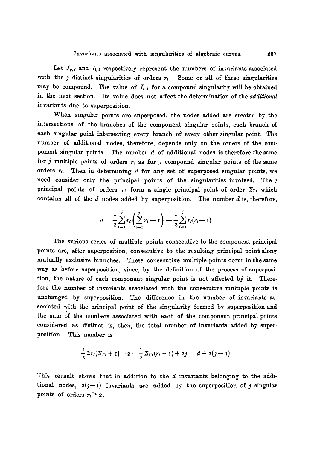Let  $I_{p,i}$  and  $I_{l,i}$  respectively represent the numbers of invariants associated with the  $j$  distinct singularities of orders  $r_i$ . Some or all of these singularities may be compound. The value of  $I_{l,i}$  for a compound singularity will be obtained in the next section. Its value does not affect the determination of the *additional*  invariants due to superposition.

When singular points are superposed, the nodes added are created by the intersections of the branches of the component singular points, each branch of each singular point intersecting every branch of every other singular point. The number of additional nodes, therefore, depends only on the orders of the component singular points. The number  $d$  of additional nodes is therefore the same for j multiple points of orders  $r_i$  as for j compound singular points of the same orders  $r_i$ . Then in determining d for any set of superposed singular points, we need consider only the principal points of the singularities involved. The  $j$ principal points of orders  $r_i$  form a single principal point of order  $\Sigma r_i$  which contains all of the  $d$  nodes added by superposition. The number  $d$  is, therefore,

$$
d = \frac{1}{2} \sum_{i=1}^{j} r_i \left( \sum_{i=1}^{j} r_i - 1 \right) - \frac{1}{2} \sum_{i=1}^{j} r_i (r_i - 1)
$$

The various series of multiple points consecutive to the component principal points are, after superposition, consecutive to the resulting principal point along mutually exclusive branches. These consecutive multiple points occur in the same way as before superposition, since, by the definition of the process of superposition, the nature of each component singular point is not affected by it. Therefore the number of invariants associated with the consecutive multiple points is unchanged by superposition. The difference in the number of invariants associated with the principal point of the singularity formed by superposition and the sum of the numbers associated with each of the component principal points considered as distinct is, then, the total number of invariants added by superposition. This number is

$$
\frac{1}{2}\Sigma r_i(\Sigma r_i+1)-2-\frac{1}{2}\Sigma r_i(r_i+1)+2j=d+2(j-1).
$$

This reusult shows that in addition to the  $d$  invariants belonging to the additional nodes,  $2(j-1)$  invariants are added by the superposition of j singular points of orders  $r_i \geq 2$ .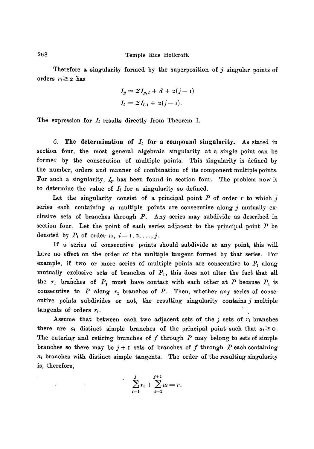Therefore a singularity formed by the superposition of j singular points of orders  $r_i \geq 2$  has

$$
I_p = \Sigma I_{p,i} + d + 2(j-1)
$$
  

$$
I_l = \Sigma I_{l,i} + 2(j-1).
$$

The expression for  $I_t$  results directly from Theorem I.

6. The determination of  $I_t$  for a compound singularity. As stated in section four, the most general algebraic singularity at a single point can be formed by the consecution of multiple points. This singularity is defined by the number, orders and manner of combination of its component multiple points. For such a singularity,  $I_p$  has been found in section four. The problem now is to determine the value of  $I_l$  for a singularity so defined.

Let the singularity consist of a principal point  $P$  of order  $r$  to which j series each containing  $s_i$  multiple points are consecutive along j mutually exclusive sets of branches through  $P$ . Any series may subdivide as described in section four. Let the point of each series adjacent to the principal point  $P$  be denoted by  $P_i$  of order  $r_i$ ,  $i=1, 2, ..., j$ .

If a series of consecutive points should subdivide at any point, this will have no effect on the order of the multiple tangent formed by that series. For example, if two or more series of multiple points are consecutive to  $P_1$  along mutually exclusive sets of branches of  $P_1$ , this does not alter the fact that all the  $r_1$  branches of  $P_1$  must have contact with each other at P because  $P_1$  is consecutive to  $P$  along  $r_1$  branches of  $P$ . Then, whether any series of consecutive points subdivides or not, the resulting singularity contains  $j$  multiple tangents of orders  $r_i$ .

Assume that between each two adjacent sets of the  $j$  sets of  $r_i$  branches there are  $a_i$  distinct simple branches of the principal point such that  $a_i \geq 0$ . The entering and retiring branches of  $f$  through  $P$  may belong to sets of simple branches so there may be  $j + i$  sets of branches of f through P each containing  $a_i$  branches with distinct simple tangents. The order of the resulting singularity is, therefore,

$$
\sum_{i=1}^{j} r_i + \sum_{i=1}^{j+1} a_i = r.
$$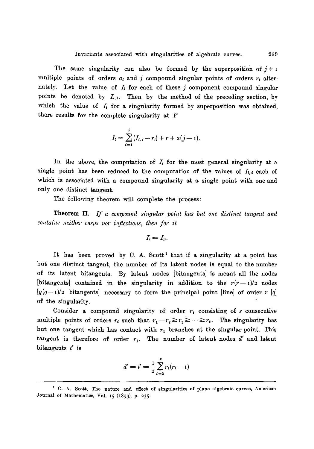The same singularity can also be formed by the superposition of  $j + 1$ multiple points of orders  $a_i$  and j compound singular points of orders  $r_i$  alternately. Let the value of  $I_l$  for each of these j component compound singular points be denoted by  $I_{l,i}$ . Then by the method of the preceding section, by which the value of  $I_t$  for a singularity formed by superposition was obtained, there results for the complete singularity at  $$ 

$$
I_l = \sum_{i=1}^j (I_{l, i} - r_i) + r + 2(j - 1).
$$

In the above, the computation of  $I_t$  for the most general singularity at a single point has been reduced to the computation of the values of  $I_{l,i}$  each of which is associated with a compound singularity at a single point with one and only one distinct tangent.

The following theorem will complete the process:

**Theorem II.** If a compound singular point has but one distinct tangent and *contains neither cusps nor inflections, then for it* 

$$
I_l=I_p.
$$

It has been proved by  $C$ . A. Scott<sup>1</sup> that if a singularity at a point has but one distinct tangent, the number of its latent nodes is equal to the number of its latent bitangents. By latent nodes [bitangents] is meant all the nodes [bitangents] contained in the singularity in addition to the  $r(r-1)/2$  nodes  $[q(q-1)/2]$  bitangents] necessary to form the principal point [line] of order r [q] of the singularity.

Consider a compound singularity of order  $r_1$  consisting of s consecutive multiple points of orders  $r_i$  such that  $r_1=r_2\geq r_3\geq \cdots \geq r_s$ . The singularity has but one tangent which has contact with  $r_1$  branches at the singular point. This tangent is therefore of order  $r_1$ . The number of latent nodes  $d'$  and latent bitangents  $t'$  is

$$
d' = t' = \frac{1}{2} \sum_{i=2}^{s} r_i (r_i - 1)
$$

<sup>&</sup>lt;sup>1</sup> C. A. Scott, The nature and effect of singularities of plane algebraic curves, American Journal of Mathematics, Vol. 15 (I893), p. 235.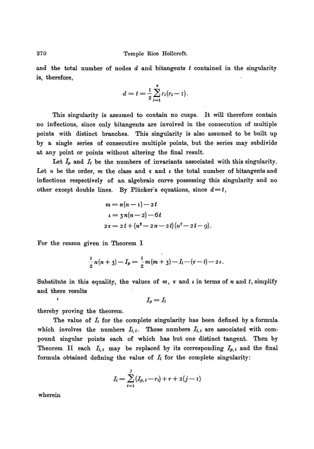and the total number of nodes  $d$  and bitangents  $t$  contained in the singularity is, therefore,

$$
d = t = \frac{1}{2} \sum_{i=1}^{s} r_i (r_i - 1).
$$

This singularity is assumed to contain no cusps. It will therefore contain no inflections, since only bitangents are involved in the consecution of multiple points with distinct branches. This singularity is also assumed to be built up by a single series of consecutive multiple points, but the series may subdivide at any point or points without altering the final result.

Let  $I_p$  and  $I_l$  be the numbers of invariants associated with this singularity. Let *n* be the order, *m* the class and  $\tau$  and  $\iota$  the total number of bitangents and inflections respectively of an algebraic curve possessing this singularity and no other except double lines. By Plücker's equations, since  $d=t$ ,

$$
m = n(n-1) - 2t
$$
  
\n
$$
\iota = 3 n(n-2) - 6t
$$
  
\n
$$
2\tau = 2t + (n^2 - 2n - 2t)(n^2 - 2t - 9).
$$

For the reason given in Theorem I

$$
\frac{1}{2}n(n+3)-I_p=\frac{1}{2}m(m+3)-I_1-(r-t)-2\iota.
$$

Substitute in this equality, the values of m,  $\tau$  and  $\iota$  in terms of n and t, simplify and there results

$$
I_p = I_l
$$

thereby proving the theorem.

The value of  $I_t$  for the complete singularity has been defined by a formula which involves the numbers  $I_{i,i}$ . These numbers  $I_{i,i}$  are associated with compound singular points each of which has but one distinct tangent. Then by Theorem II each  $I_{l,i}$  may be replaced by its corresponding  $I_{p,i}$  and the final formula obtained defining the value of  $I_i$  for the complete singularity:

$$
I_l = \sum_{i=1}^j (I_{p,i} - r_i) + r + 2(j-1)
$$

wherein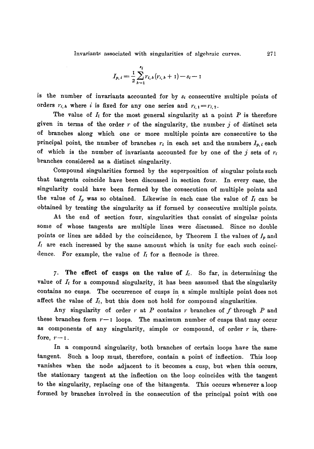Invariants associated with singularities of algebraic curves. '271

$$
I_{p,i} = \frac{1}{2} \sum_{h=1}^{k_i} r_{i,h}(r_{i,h}+1) - s_i - 1
$$

is the number of invariants accounted for by  $s_i$  consecutive multiple points of orders  $r_{i,h}$  where i is fixed for any one series and  $r_{i,1} = r_{i,2}$ .

The value of  $I_i$  for the most general singularity at a point  $P$  is therefore given in terms of the order  $r$  of the singularity, the number  $j$  of distinct sets of branches along which one or more multiple points are consecutive to the principal point, the number of branches  $r_i$  in each set and the numbers  $I_{p,i}$  each of which is the number of invariants accounted for by one of the  $j$  sets of  $r_i$ branches considered as a distinct singularity.

Compound singularities formed by the superposition of singular points such that tangents coincide have been discussed in section four. In every case, the singularity could have been formed by the consecution of multiple points and the value of  $I_p$  was so obtained. Likewise in each case the value of  $I_l$  can be obtained by treating the singularity as if formed by consecutive multiple points.

At the end of section four, singularities that consist of singular points some of whose tangents are multiple lines were discussed. Since no double points or lines are added by the coincidence, by Theorem I the values of  $I_p$  and  $I_t$  are each increased by the same amount which is unity for each such coincidence. For example, the value of  $I_l$  for a flecnode is three.

7. The effect of cusps on the value of  $I_t$ . So far, in determining the value of  $I_t$  for a compound singularity, it has been assumed that the singularity contains no cusps. The occurrence of cusps in a simple multiple point does not affect the value of  $I_l$ , but this does not hold for compound singularities.

Any singularity of order r at P contains r branches of f through  $P$  and these branches form  $r-1$  loops. The maximum number of cusps that may occur as components of any singularity, simple or compound, of order  $r$  is, therefore,  $r-r$ .

In a compound singularity, both branches of certain loops have the same tangent. Such a loop must, therefore, contain a point of inflection. This loop vanishes when the node adjacent to it becomes a cusp, but when this occurs, the stationary tangent at the inflection on the loop coincides with the tangent to the singularity, replacing one of the bitangents. This occurs whenever a loop formed by branches involved in the consecution of the principal point with one